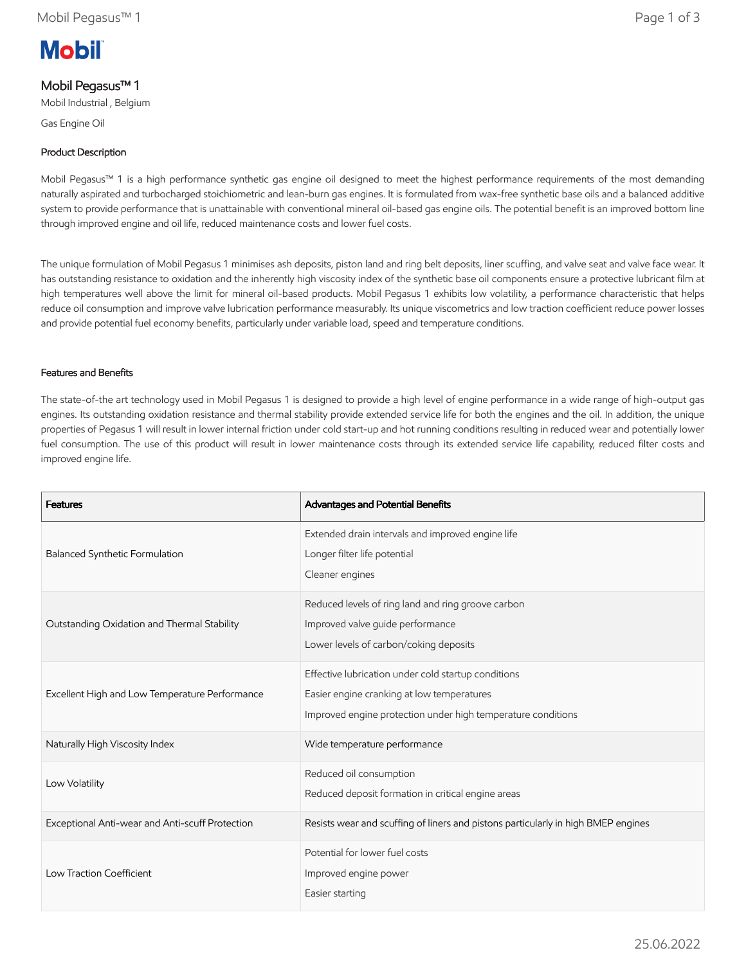# **Mobil**

## Mobil Pegasus™ 1

Mobil Industrial , Belgium

Gas Engine Oil

## Product Description

Mobil Pegasus™ 1 is a high performance synthetic gas engine oil designed to meet the highest performance requirements of the most demanding naturally aspirated and turbocharged stoichiometric and lean-burn gas engines. It is formulated from wax-free synthetic base oils and a balanced additive system to provide performance that is unattainable with conventional mineral oil-based gas engine oils. The potential benefit is an improved bottom line through improved engine and oil life, reduced maintenance costs and lower fuel costs.

The unique formulation of Mobil Pegasus 1 minimises ash deposits, piston land and ring belt deposits, liner scuffing, and valve seat and valve face wear. It has outstanding resistance to oxidation and the inherently high viscosity index of the synthetic base oil components ensure a protective lubricant film at high temperatures well above the limit for mineral oil-based products. Mobil Pegasus 1 exhibits low volatility, a performance characteristic that helps reduce oil consumption and improve valve lubrication performance measurably. Its unique viscometrics and low traction coefficient reduce power losses and provide potential fuel economy benefits, particularly under variable load, speed and temperature conditions.

### Features and Benefits

The state-of-the art technology used in Mobil Pegasus 1 is designed to provide a high level of engine performance in a wide range of high-output gas engines. Its outstanding oxidation resistance and thermal stability provide extended service life for both the engines and the oil. In addition, the unique properties of Pegasus 1 will result in lower internal friction under cold start-up and hot running conditions resulting in reduced wear and potentially lower fuel consumption. The use of this product will result in lower maintenance costs through its extended service life capability, reduced filter costs and improved engine life.

| <b>Features</b>                                 | Advantages and Potential Benefits                                                                                                                                 |
|-------------------------------------------------|-------------------------------------------------------------------------------------------------------------------------------------------------------------------|
| Balanced Synthetic Formulation                  | Extended drain intervals and improved engine life<br>Longer filter life potential<br>Cleaner engines                                                              |
| Outstanding Oxidation and Thermal Stability     | Reduced levels of ring land and ring groove carbon<br>Improved valve guide performance<br>Lower levels of carbon/coking deposits                                  |
| Excellent High and Low Temperature Performance  | Effective lubrication under cold startup conditions<br>Easier engine cranking at low temperatures<br>Improved engine protection under high temperature conditions |
| Naturally High Viscosity Index                  | Wide temperature performance                                                                                                                                      |
| Low Volatility                                  | Reduced oil consumption<br>Reduced deposit formation in critical engine areas                                                                                     |
| Exceptional Anti-wear and Anti-scuff Protection | Resists wear and scuffing of liners and pistons particularly in high BMEP engines                                                                                 |
| Low Traction Coefficient                        | Potential for lower fuel costs<br>Improved engine power<br>Easier starting                                                                                        |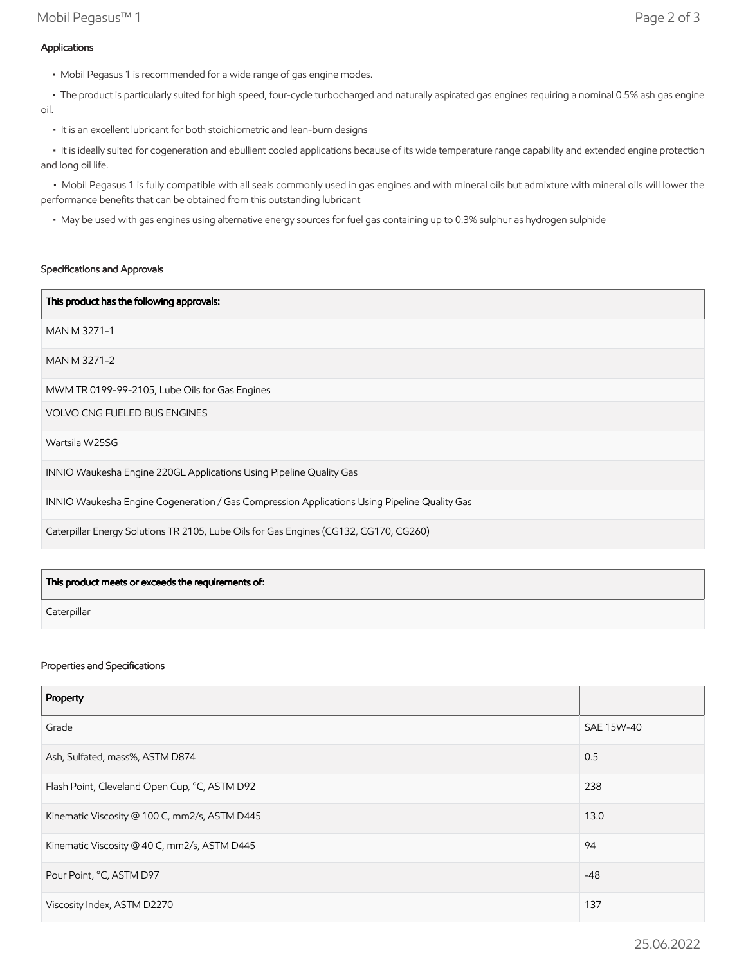• The product is particularly suited for high speed, four-cycle turbocharged and naturally aspirated gas engines requiring a nominal 0.5% ash gas engine oil.

• It is an excellent lubricant for both stoichiometric and lean-burn designs

 • It is ideally suited for cogeneration and ebullient cooled applications because of its wide temperature range capability and extended engine protection and long oil life.

 • Mobil Pegasus 1 is fully compatible with all seals commonly used in gas engines and with mineral oils but admixture with mineral oils will lower the performance benefits that can be obtained from this outstanding lubricant

• May be used with gas engines using alternative energy sources for fuel gas containing up to 0.3% sulphur as hydrogen sulphide

#### Specifications and Approvals

| This product has the following approvals:                                                    |
|----------------------------------------------------------------------------------------------|
| MAN M 3271-1                                                                                 |
| MAN M 3271-2                                                                                 |
| MWM TR 0199-99-2105, Lube Oils for Gas Engines                                               |
| <b>VOLVO CNG FUELED BUS ENGINES</b>                                                          |
| Wartsila W25SG                                                                               |
| INNIO Waukesha Engine 220GL Applications Using Pipeline Quality Gas                          |
| INNIO Waukesha Engine Cogeneration / Gas Compression Applications Using Pipeline Quality Gas |
| Caterpillar Energy Solutions TR 2105, Lube Oils for Gas Engines (CG132, CG170, CG260)        |

| This product meets or exceeds the requirements of: |  |
|----------------------------------------------------|--|
| Caterpillar                                        |  |

#### Properties and Specifications

| Property                                      |            |
|-----------------------------------------------|------------|
| Grade                                         | SAE 15W-40 |
| Ash, Sulfated, mass%, ASTM D874               | 0.5        |
| Flash Point, Cleveland Open Cup, °C, ASTM D92 | 238        |
| Kinematic Viscosity @ 100 C, mm2/s, ASTM D445 | 13.0       |
| Kinematic Viscosity @ 40 C, mm2/s, ASTM D445  | 94         |
| Pour Point, °C, ASTM D97                      | $-48$      |
| Viscosity Index, ASTM D2270                   | 137        |